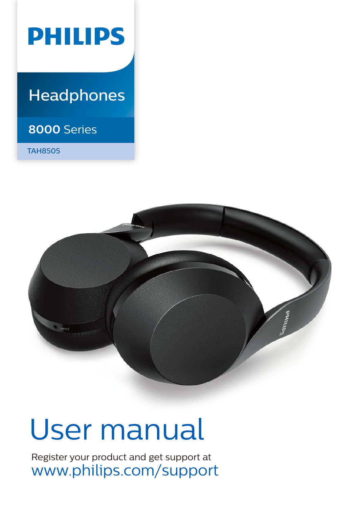

## **Headphones**

### **8000** Series

TAH8505



# User manual

Register your product and get support at www.philips.com/support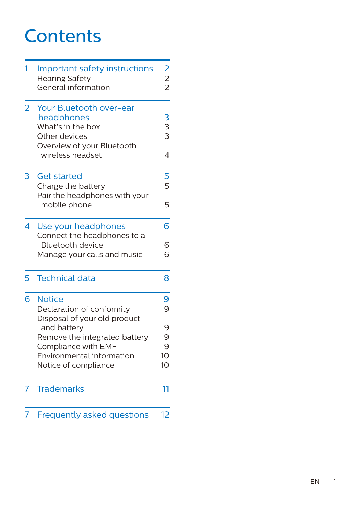## **Contents**

| 1                        | Important safety instructions<br><b>Hearing Safety</b><br>General information                                                 | $\begin{array}{c} 2 \\ 2 \\ 2 \end{array}$ |
|--------------------------|-------------------------------------------------------------------------------------------------------------------------------|--------------------------------------------|
| $\overline{2}$           | Your Bluetooth over-ear<br>headphones<br>What's in the box<br>Other devices<br>Overview of your Bluetooth<br>wireless headset | $\begin{array}{c} 3 \\ 3 \end{array}$<br>4 |
| 3                        | <b>Get started</b><br>Charge the battery<br>Pair the headphones with your<br>mobile phone                                     | 5<br>5<br>5                                |
| $\overline{\mathcal{A}}$ | Use your headphones<br>Connect the headphones to a<br>Bluetooth device<br>Manage your calls and music                         | 6<br>6<br>6                                |
| 5                        | <b>Technical data</b>                                                                                                         | 8                                          |
| 6                        | <b>Notice</b><br>Declaration of conformity<br>Disposal of your old product                                                    | 9<br>9                                     |
|                          | and battery<br>Remove the integrated battery<br>Compliance with EMF<br>Environmental information<br>Notice of compliance      | 9<br>9<br>9<br>10 <sup>1</sup><br>10       |
| 7                        | <b>Trademarks</b>                                                                                                             | 11                                         |
| 7                        | <b>Frequently asked questions</b>                                                                                             | 12                                         |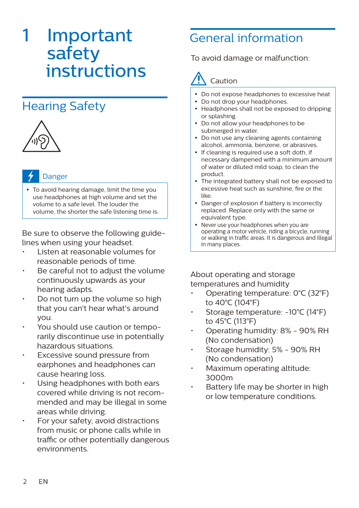## **Important** safety instructions

## Hearing Safety



#### Danger

 To avoid hearing damage, limit the time you use headphones at high volume and set the volume to a safe level. The louder the volume, the shorter the safe listening time is.

Be sure to observe the following guidelines when using your headset.

- Listen at reasonable volumes for reasonable periods of time.
- Be careful not to adjust the volume continuously upwards as your hearing adapts.
- Do not turn up the volume so high that you can't hear what's around you.
- You should use caution or temporarily discontinue use in potentially hazardous situations.
- Excessive sound pressure from earphones and headphones can cause hearing loss.
- Using headphones with both ears covered while driving is not recommended and may be illegal in some areas while driving.
- For your safety, avoid distractions from music or phone calls while in traffic or other potentially dangerous environments.

## General information

To avoid damage or malfunction:

## Caution

- Do not expose headphones to excessive heat
- Do not drop your headphones.
- Headphones shall not be exposed to dripping or splashing.
- Do not allow your headphones to be submerged in water.
- Do not use any cleaning agents containing alcohol, ammonia, benzene, or abrasives.
- If cleaning is required use a soft doth, if necessary dampened with a minimum amount of water or diluted mild soap, to clean the product.
- The integrated battery shall not be exposed to excessive heat such as sunshine, fire or the like.
- Danger of explosion if battery is incorrectly replaced. Replace only with the same or equivalent type.
- Never use your headphones when you are operating a motor vehicle, riding a bicycle, running or walking in traffic areas. It is dangerous and illegal in many places.

About operating and storage temperatures and humidity

- Operating temperature: 0°C (32°F) to 40°C (104°F)
- Storage temperature: -10°C (14°F) to 45°C (113°F)
- Operating humidity: 8% 90% RH (No condensation)
- Storage humidity: 5% 90% RH (No condensation)
- Maximum operating altitude: 3000m
- Battery life may be shorter in high or low temperature conditions.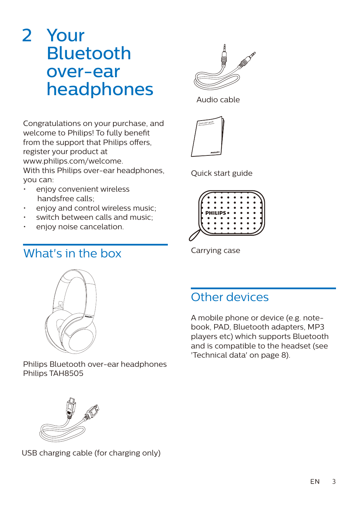## 2 Your Bluetooth over-ear headphones

Congratulations on your purchase, and welcome to Philips! To fully benefit from the support that Philips offers, register your product at www.philips.com/welcome. With this Philips over-ear headphones. you can:

- enjoy convenient wireless handsfree calls;
- enjoy and control wireless music:
- switch between calls and music;
- enjoy noise cancelation.

### What's in the box



Audio cable



Quick start guide



Carrying case



Philips Bluetooth over-ear headphones Philips TAH8505



A mobile phone or device (e.g. notebook, PAD, Bluetooth adapters, MP3 players etc) which supports Bluetooth and is compatible to the headset (see 'Technical data' on page 8).



USB charging cable (for charging only)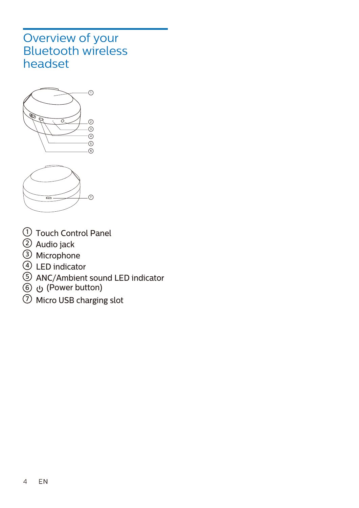### Overview of your Bluetooth wireless headset





- ${\mathbb U}$  Touch Control Panel
- Audio jack 2
- Microphone 3
- $\mathcal P$  LED indicator
- ANC/Ambient sound LED indicator 5
- (Power button) 6
- ${\cal D}$  Micro USB charging slot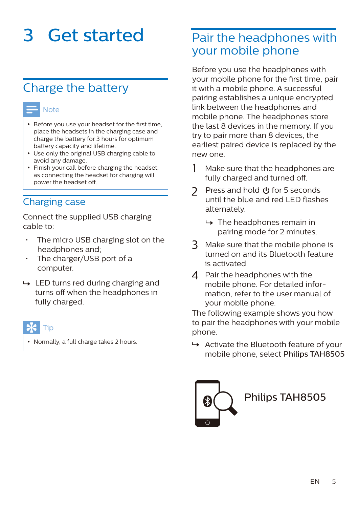## 3 Get started

### Charge the battery



- Before you use your headset for the first time, place the headsets in the charging case and charge the battery for 3 hours for optimum battery capacity and lifetime.
- Use only the original USB charging cable to avoid any damage.
- Finish your call before charging the headset, as connecting the headset for charging will power the headset off.

#### Charging case

Connect the supplied USB charging cable to:

- The micro USB charging slot on the headphones and;
- The charger/USB port of a computer.
- $\rightarrow$  LED turns red during charging and turns off when the headphones in fully charged.

#### Tip

• Normally, a full charge takes 2 hours.

### Pair the headphones with your mobile phone

Before you use the headphones with your mobile phone for the first time, pair it with a mobile phone. A successful pairing establishes a unique encrypted link between the headphones and mobile phone. The headphones store the last 8 devices in the memory. If you try to pair more than 8 devices, the earliest paired device is replaced by the new one.

- 1 Make sure that the headphones are fully charged and turned off.
- 2 Press and hold **U** for 5 seconds until the blue and red LED flashes alternately.
	- $\rightarrow$  The headphones remain in pairing mode for 2 minutes.
- 3 Make sure that the mobile phone is turned on and its Bluetooth feature is activated.
- 4 Pair the headphones with the mobile phone. For detailed information, refer to the user manual of your mobile phone.

The following example shows you how to pair the headphones with your mobile phone.

 $\rightarrow$  Activate the Bluetooth feature of your mobile phone, select Philips TAH8505

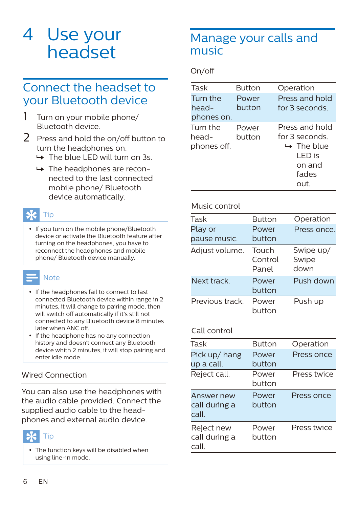## 4 Use your headset

### Connect the headset to your Bluetooth device

- Turn on your mobile phone/ Bluetooth device.
- $2$  Press and hold the on/off button to turn the headphones on.
	- $\rightarrow$  The blue LED will turn on 3s.
	- $\rightarrow$  The headphones are reconnected to the last connected mobile phone/ Bluetooth device automatically.

### Tip

• If you turn on the mobile phone/Bluetooth device or activate the Bluetooth feature after turning on the headphones, you have to reconnect the headphones and mobile phone/ Bluetooth device manually.

#### **Note**

- If the headphones fail to connect to last connected Bluetooth device within range in 2 minutes, it will change to pairing mode, then will switch off automatically if it's still not connected to any Bluetooth device 8 minutes later when ANC off.
- If the headphone has no any connection history and doesn't connect any Bluetooth device whith 2 minutes, it will stop pairing and enter idle mode.

#### Wired Connection

You can also use the headphones with the audio cable provided. Connect the supplied audio cable to the headphones and external audio device.

#### Tip

• The function keys will be disabled when using line-in mode.

### Manage your calls and music

On/o

| Task        | <b>Button</b> | Operation              |
|-------------|---------------|------------------------|
| Turn the    | Power         | Press and hold         |
| head-       | button        | for 3 seconds          |
| phones on.  |               |                        |
| Turn the    | Power         | Press and hold         |
| head-       | button        | for 3 seconds          |
| phones off. |               | $\rightarrow$ The blue |
|             |               | I FD is                |
|             |               | on and                 |
|             |               | fades                  |
|             |               | ∩⊔t                    |

#### Music control

| Task            | <b>Button</b>             | Operation                  |
|-----------------|---------------------------|----------------------------|
| Play or         | Power                     | Press once.                |
| pause music.    | button                    |                            |
| Adjust volume.  | Touch<br>Control<br>Panel | Swipe up/<br>Swipe<br>down |
| Next track      | Power<br>button           | Push down                  |
| Previous track. | Power<br>button           | Push up                    |

#### Call control

| Task                                 | <b>Button</b>   | Operation   |
|--------------------------------------|-----------------|-------------|
| Pick up/ hang<br>up a call.          | Power<br>button | Press once  |
| Reject call.                         | Power<br>button | Press twice |
| Answer new<br>call during a<br>call  | Power<br>hutton | Press once  |
| Reject new<br>call during a<br>call. | Power<br>hutton | Press twice |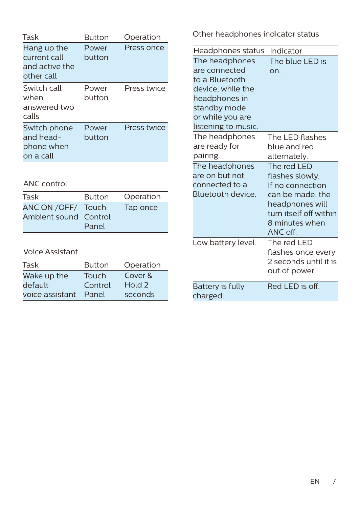| Task                                                        | Button          | Operation   |
|-------------------------------------------------------------|-----------------|-------------|
| Hang up the<br>current call<br>and active the<br>other call | Power<br>button | Press once  |
| Switch call<br>when<br>answered two<br>calls                | Power<br>button | Press twice |
| Switch phone<br>and head-<br>phone when<br>on a call        | Power<br>button | Press twice |

#### ANC control

| Task                  | <b>Button</b> | Operation |
|-----------------------|---------------|-----------|
| ANC ON / OFF/ Touch   |               | Tap once  |
| Ambient sound Control |               |           |
|                       | Panel         |           |

#### Voice Assistant

| Task            | <b>Button</b> | Operation |
|-----------------|---------------|-----------|
| Wake up the     | <b>Touch</b>  | Cover &   |
| default         | Control       | Hold 2    |
| voice assistant | Panel         | seconds   |

Other headphones indicator status

| Headphones status                                                                                                                                  | Indicator                                                                                                                                         |
|----------------------------------------------------------------------------------------------------------------------------------------------------|---------------------------------------------------------------------------------------------------------------------------------------------------|
| The headphones<br>are connected<br>to a Bluetooth<br>device, while the<br>headphones in<br>standby mode<br>or while you are<br>listening to music. | The blue LED is<br>on.                                                                                                                            |
| The headphones<br>are ready for<br>pairing.                                                                                                        | The LED flashes<br>blue and red<br>alternately.                                                                                                   |
| The headphones<br>are on but not<br>connected to a<br>Bluetooth device.                                                                            | The red LED<br>flashes slowly.<br>If no connection<br>can be made, the<br>headphones will<br>turn itself off within<br>8 minutes when<br>ANC off. |
| Low battery level.                                                                                                                                 | The red LED<br>flashes once every<br>2 seconds until it is<br>out of power                                                                        |
| <b>Battery is fully</b><br>charged.                                                                                                                | $Red$ I $FD$ is off                                                                                                                               |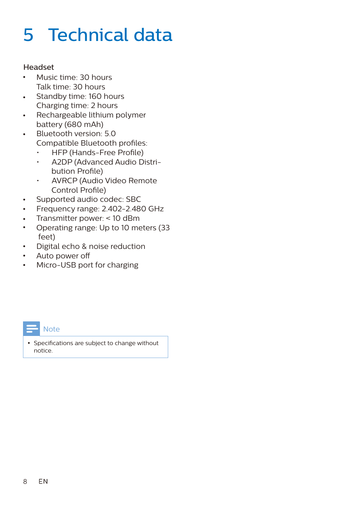## 5 Technical data

#### Headset

- Music time: 30 hours Talk time: 30 hours
- Standby time: 160 hours  $\bullet$ Charging time: 2 hours
- Rechargeable lithium polymer  $\ddot{\phantom{0}}$ battery (680 mAh)
- Bluetooth version: 5.0  $\ddot{\phantom{a}}$ Compatible Bluetooth profiles:
	- $\cdot$  HFP (Hands-Free Profile)
	- A2DP (Advanced Audio Distribution Profile)
	- AVRCP (Audio Video Remote Control Profile)
- Supported audio codec: SBC  $\bullet$
- Frequency range: 2.402-2.480 GHz  $\bullet$
- Transmitter power: < 10 dBm  $\bullet$
- Operating range: Up to 10 meters (33  $\bullet$ feet)
- Digital echo & noise reduction  $\bullet$
- Auto power o  $\bullet$
- Micro-USB port for charging $\bullet$



• Specifications are subject to change without notice.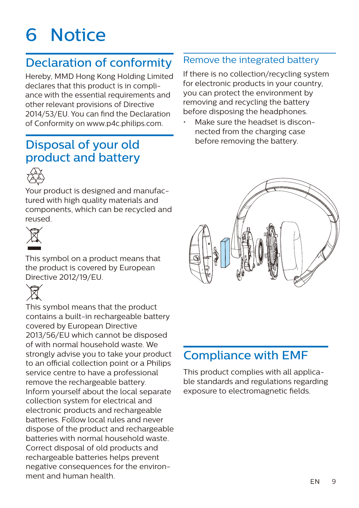## 6 Notice

## Declaration of conformity

Hereby, MMD Hong Kong Holding Limited declares that this product is in compliance with the essential requirements and other relevant provisions of Directive 2014/53/EU. You can find the Declaration of Conformity on www.p4c.philips.com.

## Disposal of your old product and battery



Your product is designed and manufactured with high quality materials and components, which can be recycled and reused.



This symbol on a product means that the product is covered by European Directive 2012/19/EU.



This symbol means that the product contains a built-in rechargeable battery covered by European Directive 2013/56/EU which cannot be disposed of with normal household waste. We strongly advise you to take your product to an official collection point or a Philips service centre to have a professional remove the rechargeable battery. Inform yourself about the local separate collection system for electrical and electronic products and rechargeable batteries. Follow local rules and never dispose of the product and rechargeable batteries with normal household waste. Correct disposal of old products and rechargeable batteries helps prevent negative consequences for the environment and human health.

#### Remove the integrated battery

If there is no collection/recycling system for electronic products in your country, you can protect the environment by removing and recycling the battery before disposing the headphones.

Make sure the headset is disconnected from the charging case before removing the battery.



## Compliance with EMF

This product complies with all applicable standards and regulations regarding exposure to electromagnetic fields.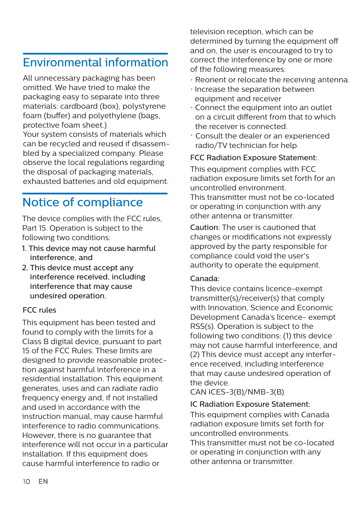### Environmental information

All unnecessary packaging has been omitted. We have tried to make the packaging easy to separate into three materials: cardboard (box), polystyrene foam (buffer) and polyethylene (bags, protective foam sheet.)

Your system consists of materials which can be recycled and reused if disassembled by a specialized company. Please observe the local regulations regarding the disposal of packaging materials, exhausted batteries and old equipment.

## Notice of compliance

The device complies with the FCC rules, Part 15. Operation is subject to the following two conditions:

- 1. This device may not cause harmful interference, and
- 2. This device must accept any interference received, including interference that may cause undesired operation.

#### FCC rules

This equipment has been tested and found to comply with the limits for a Class B digital device, pursuant to part 15 of the FCC Rules. These limits are designed to provide reasonable protection against harmful interference in a residential installation. This equipment generates, uses and can radiate radio frequency energy and, if not installed and used in accordance with the instruction manual, may cause harmful interference to radio communications. However, there is no guarantee that interference will not occur in a particular installation. If this equipment does cause harmful interference to radio or

television reception, which can be determined by turning the equipment off and on, the user is encouraged to try to correct the interference by one or more of the following measures:

- Reorient or relocate the receiving antenna.
- $\cdot$  Increase the separation between equipment and receiver
- $\cdot$  Connect the equipment into an outlet on a circuit different from that to which the receiver is connected.
- Consult the dealer or an experienced radio/TV technician for help.

#### FCC Radiation Exposure Statement:

This equipment complies with FCC radiation exposure limits set forth for an uncontrolled environment. This transmitter must not be co-located or operating in conjunction with any other antenna or transmitter.

Caution: The user is cautioned that changes or modifications not expressly approved by the party responsible for compliance could void the user's authority to operate the equipment.

#### Canada:

This device contains licence-exempt transmitter(s)/receiver(s) that comply with Innovation, Science and Economic Development Canada's licence- exempt RSS(s). Operation is subject to the following two conditions: (1) this device may not cause harmful interference, and (2) This device must accept any interference received, including interference that may cause undesired operation of the device.

CAN ICES-3(B)/NMB-3(B)

#### IC Radiation Exposure Statement:

This equipment complies with Canada radiation exposure limits set forth for uncontrolled environments.

This transmitter must not be co-located or operating in conjunction with any other antenna or transmitter.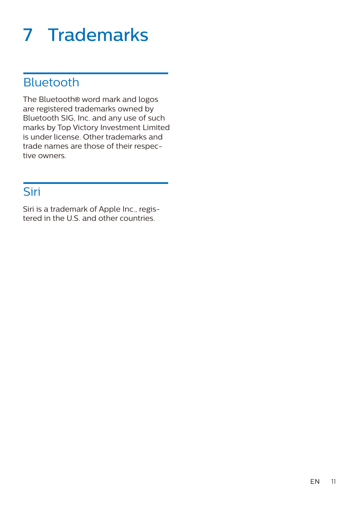## 7 Trademarks

## Bluetooth

The Bluetooth® word mark and logos are registered trademarks owned by Bluetooth SIG, Inc. and any use of such marks by Top Victory Investment Limited is under license. Other trademarks and trade names are those of their respective owners.

## Siri

Siri is a trademark of Apple Inc., registered in the U.S. and other countries.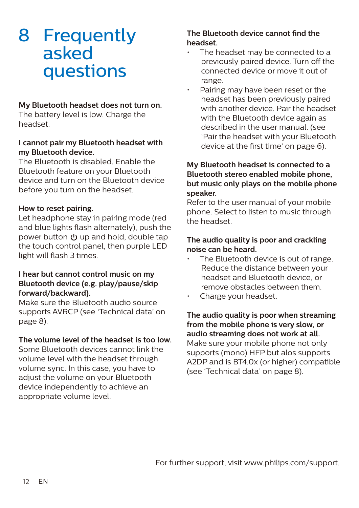## 8 Frequently asked questions

#### **My Bluetooth headset does not turn on.**

The battery level is low. Charge the headset.

#### **I cannot pair my Bluetooth headset with my Bluetooth device.**

The Bluetooth is disabled. Enable the Bluetooth feature on your Bluetooth device and turn on the Bluetooth device before you turn on the headset.

#### **How to reset pairing.**

Let headphone stay in pairing mode (red and blue lights flash alternately), push the power button (l) up and hold, double tap the touch control panel, then purple LED light will flash 3 times.

#### **I hear but cannot control music on my Bluetooth device (e.g. play/pause/skip forward/backward).**

Make sure the Bluetooth audio source supports AVRCP (see 'Technical data' on page 8).

#### **The volume level of the headset is too low.**

Some Bluetooth devices cannot link the volume level with the headset through volume sync. In this case, you have to adjust the volume on your Bluetooth device independently to achieve an appropriate volume level.

#### **The Bluetooth device cannot find the headset.**

- The headset may be connected to a previously paired device. Turn off the connected device or move it out of range.
- Pairing may have been reset or the headset has been previously paired with another device. Pair the headset with the Bluetooth device again as described in the user manual. (see 'Pair the headset with your Bluetooth device at the first time' on page 6).

#### **My Bluetooth headset is connected to a Bluetooth stereo enabled mobile phone, but music only plays on the mobile phone speaker.**

Refer to the user manual of your mobile phone. Select to listen to music through the headset.

#### **The audio quality is poor and crackling noise can be heard.**

- The Bluetooth device is out of range. Reduce the distance between your headset and Bluetooth device, or remove obstacles between them.
- Charge your headset.

**The audio quality is poor when streaming from the mobile phone is very slow, or audio streaming does not work at all.** Make sure your mobile phone not only supports (mono) HFP but alos supports A2DP and is BT4.0x (or higher) compatible (see 'Technical data' on page 8).